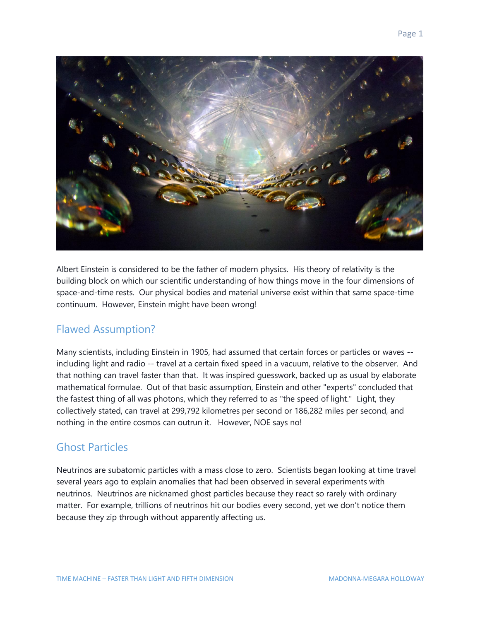

Albert Einstein is considered to be the father of modern physics. His theory of relativity is the building block on which our scientific understanding of how things move in the four dimensions of space-and-time rests. Our physical bodies and material universe exist within that same space-time continuum. However, Einstein might have been wrong!

#### Flawed Assumption?

Many scientists, including Einstein in 1905, had assumed that certain forces or particles or waves - including light and radio -- travel at a certain fixed speed in a vacuum, relative to the observer. And that nothing can travel faster than that. It was inspired guesswork, backed up as usual by elaborate mathematical formulae. Out of that basic assumption, Einstein and other "experts" concluded that the fastest thing of all was photons, which they referred to as "the speed of light." Light, they collectively stated, can travel at 299,792 kilometres per second or 186,282 miles per second, and nothing in the entire cosmos can outrun it. However, NOE says no!

## Ghost Particles

Neutrinos are subatomic particles with a mass close to zero. Scientists began looking at time travel several years ago to explain anomalies that had been observed in several experiments with neutrinos. Neutrinos are nicknamed ghost particles because they react so rarely with ordinary matter. For example, trillions of neutrinos hit our bodies every second, yet we don't notice them because they zip through without apparently affecting us.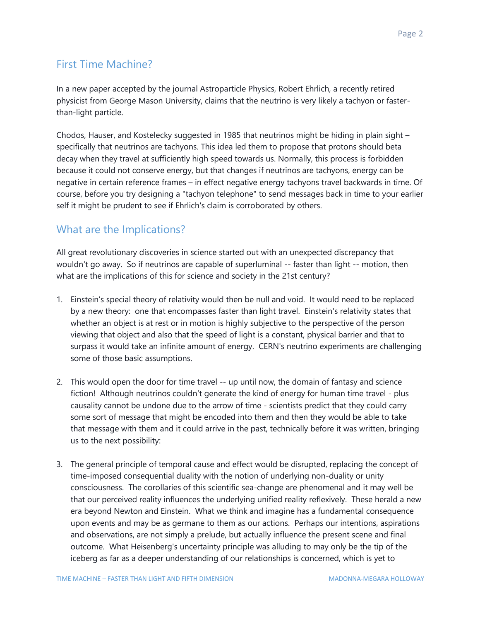# First Time Machine?

In a new paper accepted by the journal Astroparticle Physics, Robert Ehrlich, a recently retired physicist from George Mason University, claims that the neutrino is very likely a tachyon or fasterthan-light particle.

Chodos, Hauser, and Kostelecky suggested in 1985 that neutrinos might be hiding in plain sight – specifically that neutrinos are tachyons. This idea led them to propose that protons should beta decay when they travel at sufficiently high speed towards us. Normally, this process is forbidden because it could not conserve energy, but that changes if neutrinos are tachyons, energy can be negative in certain reference frames – in effect negative energy tachyons travel backwards in time. Of course, before you try designing a "tachyon telephone" to send messages back in time to your earlier self it might be prudent to see if Ehrlich's claim is corroborated by others.

## What are the Implications?

All great revolutionary discoveries in science started out with an unexpected discrepancy that wouldn't go away. So if neutrinos are capable of superluminal -- faster than light -- motion, then what are the implications of this for science and society in the 21st century?

- 1. Einstein's special theory of relativity would then be null and void. It would need to be replaced by a new theory: one that encompasses faster than light travel. Einstein's relativity states that whether an object is at rest or in motion is highly subjective to the perspective of the person viewing that object and also that the speed of light is a constant, physical barrier and that to surpass it would take an infinite amount of energy. CERN's neutrino experiments are challenging some of those basic assumptions.
- 2. This would open the door for time travel -- up until now, the domain of fantasy and science fiction! Although neutrinos couldn't generate the kind of energy for human time travel - plus causality cannot be undone due to the arrow of time - scientists predict that they could carry some sort of message that might be encoded into them and then they would be able to take that message with them and it could arrive in the past, technically before it was written, bringing us to the next possibility:
- 3. The general principle of temporal cause and effect would be disrupted, replacing the concept of time-imposed consequential duality with the notion of underlying non-duality or unity consciousness. The corollaries of this scientific sea-change are phenomenal and it may well be that our perceived reality influences the underlying unified reality reflexively. These herald a new era beyond Newton and Einstein. What we think and imagine has a fundamental consequence upon events and may be as germane to them as our actions. Perhaps our intentions, aspirations and observations, are not simply a prelude, but actually influence the present scene and final outcome. What Heisenberg's uncertainty principle was alluding to may only be the tip of the iceberg as far as a deeper understanding of our relationships is concerned, which is yet to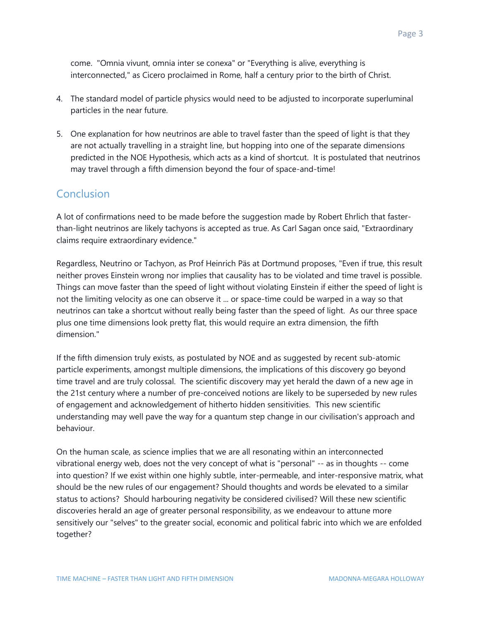come. "Omnia vivunt, omnia inter se conexa" or "Everything is alive, everything is interconnected," as Cicero proclaimed in Rome, half a century prior to the birth of Christ.

- 4. The standard model of particle physics would need to be adjusted to incorporate superluminal particles in the near future.
- 5. One explanation for how neutrinos are able to travel faster than the speed of light is that they are not actually travelling in a straight line, but hopping into one of the separate dimensions predicted in the NOE Hypothesis, which acts as a kind of shortcut. It is postulated that neutrinos may travel through a fifth dimension beyond the four of space-and-time!

#### Conclusion

A lot of confirmations need to be made before the suggestion made by Robert Ehrlich that fasterthan-light neutrinos are likely tachyons is accepted as true. As Carl Sagan once said, "Extraordinary claims require extraordinary evidence."

Regardless, Neutrino or Tachyon, as Prof Heinrich Päs at Dortmund proposes, "Even if true, this result neither proves Einstein wrong nor implies that causality has to be violated and time travel is possible. Things can move faster than the speed of light without violating Einstein if either the speed of light is not the limiting velocity as one can observe it ... or space-time could be warped in a way so that neutrinos can take a shortcut without really being faster than the speed of light. As our three space plus one time dimensions look pretty flat, this would require an extra dimension, the fifth dimension."

If the fifth dimension truly exists, as postulated by NOE and as suggested by recent sub-atomic particle experiments, amongst multiple dimensions, the implications of this discovery go beyond time travel and are truly colossal. The scientific discovery may yet herald the dawn of a new age in the 21st century where a number of pre-conceived notions are likely to be superseded by new rules of engagement and acknowledgement of hitherto hidden sensitivities. This new scientific understanding may well pave the way for a quantum step change in our civilisation's approach and behaviour.

On the human scale, as science implies that we are all resonating within an interconnected vibrational energy web, does not the very concept of what is "personal" -- as in thoughts -- come into question? If we exist within one highly subtle, inter-permeable, and inter-responsive matrix, what should be the new rules of our engagement? Should thoughts and words be elevated to a similar status to actions? Should harbouring negativity be considered civilised? Will these new scientific discoveries herald an age of greater personal responsibility, as we endeavour to attune more sensitively our "selves" to the greater social, economic and political fabric into which we are enfolded together?